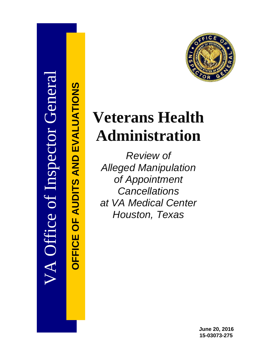

**OFFICE OF AUDITS AND EVALUATIONS**

*OFFICE OF AUDITS AND EVALUATIONS* 

# **Veterans Health Administration**

*Review of Alleged Manipulation of Appointment Cancellations at VA Medical Center Houston, Texas*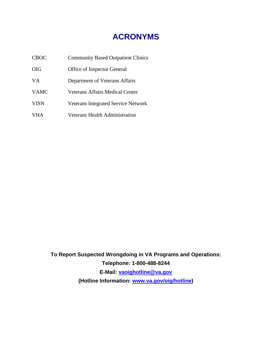# **ACRONYMS**

| <b>CBOC</b> | <b>Community Based Outpatient Clinics</b>  |
|-------------|--------------------------------------------|
| <b>OIG</b>  | Office of Inspector General                |
| VA.         | Department of Veterans Affairs             |
| <b>VAMC</b> | <b>Veterans Affairs Medical Center</b>     |
| <b>VISN</b> | <b>Veterans Integrated Service Network</b> |
| <b>VHA</b>  | Veterans Health Administration             |

**To Report Suspected Wrongdoing in VA Programs and Operations: Telephone: 1-800-488-8244 E-Mail: [vaoighotline@va.gov](mailto:vaoighotline@va.gov) (Hotline Information: [www.va.gov/oig/hotline\)](http://www.va.gov/oig/hotline)**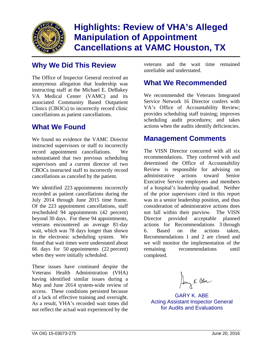

# **Highlights: Review of VHA's Alleged Manipulation of Appointment Cancellations at VAMC Houston, TX**

The Office of Inspector General received an anonymous allegation that leadership was instructing staff at the Michael E. DeBakey VA Medical Center (VAMC) and its associated Community Based Outpatient Clinics (CBOCs) to incorrectly record clinic cancellations as patient cancellations.

## **What We Found**

We found no evidence the VAMC Director instructed supervisors or staff to incorrectly record appointment cancellations. We substantiated that two previous scheduling supervisors and a current director of two CBOCs instructed staff to incorrectly record cancellations as canceled by the patient.

 July 2014 through June 2015 time frame. Of the 223 appointment cancellations, staff We identified 223 appointments incorrectly recorded as patient cancellations during the rescheduled 94 appointments (42 percent) beyond 30 days. For these 94 appointments, veterans encountered an average 81-day wait, which was 78 days longer than shown in the electronic scheduling system. We found that wait times were understated about 66 days for 50 appointments (22 percent) when they were initially scheduled.

of a lack of effective training and oversight. These issues have continued despite the Veterans Health Administration (VHA) having identified similar issues during a May and June 2014 system-wide review of access. These conditions persisted because As a result, VHA's recorded wait times did not reflect the actual wait experienced by the

**Why We Did This Review** veterans and the wait time remained unreliable and understated.

### **What We Recommended**

We recommended the Veterans Integrated Service Network 16 Director confers with VA's Office of Accountability Review; provides scheduling staff training; improves scheduling audit procedures; and takes actions when the audits identify deficiencies.

### **Management Comments**

The VISN Director concurred with all six recommendations. They conferred with and determined the Office of Accountability Review is responsible for advising on administrative actions toward Senior Executive Service employees and members of a hospital's leadership quadrad. Neither of the prior supervisors cited in this report was in a senior leadership position, and thus consideration of administrative actions does not fall within their purview. The VISN Director provided acceptable planned actions for Recommendations 3 through 6. Based on the actions taken, Recommendations 1 and 2 are closed and we will monitor the implementation of the remaining recommendations until completed.

Aang K abe

GARY K. ABE Acting Assistant Inspector General for Audits and Evaluations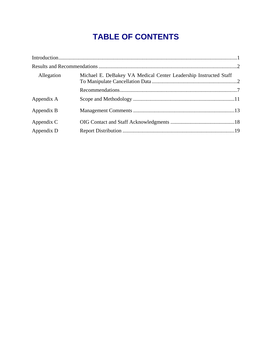# **TABLE OF CONTENTS**

| Allegation | Michael E. DeBakey VA Medical Center Leadership Instructed Staff |  |
|------------|------------------------------------------------------------------|--|
|            |                                                                  |  |
| Appendix A |                                                                  |  |
| Appendix B |                                                                  |  |
| Appendix C |                                                                  |  |
| Appendix D |                                                                  |  |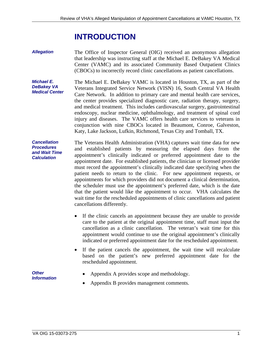# **INTRODUCTION**

<span id="page-4-0"></span>*Allegation*  The Office of Inspector General (OIG) received an anonymous allegation that leadership was instructing staff at the Michael E. DeBakey VA Medical Center (VAMC) and its associated Community Based Outpatient Clinics (CBOCs) to incorrectly record clinic cancellations as patient cancellations.

*Michael E. DeBakey VA Medical Center*  The Michael E. DeBakey VAMC is located in Houston, TX, as part of the Veterans Integrated Service Network (VISN) 16, South Central VA Health Care Network. In addition to primary care and mental health care services, the center provides specialized diagnostic care, radiation therapy, surgery, and medical treatment. This includes cardiovascular surgery, gastrointestinal endoscopy, nuclear medicine, ophthalmology, and treatment of spinal cord injury and diseases. The VAMC offers health care services to veterans in conjunction with nine CBOCs located in Beaumont, Conroe, Galveston, Katy, Lake Jackson, Lufkin, Richmond, Texas City and Tomball, TX.

*Cancellation Procedures and Wait Time Calculation*  The Veterans Health Administration (VHA) captures wait time data for new and established patients by measuring the elapsed days from the appointment's clinically indicated or preferred appointment date to the appointment date. For established patients, the clinician or licensed provider must record the appointment's clinically indicated date specifying when the patient needs to return to the clinic. For new appointment requests, or appointments for which providers did not document a clinical determination, the scheduler must use the appointment's preferred date, which is the date that the patient would like the appointment to occur. VHA calculates the wait time for the rescheduled appointments of clinic cancellations and patient cancellations differently.

- If the clinic cancels an appointment because they are unable to provide care to the patient at the original appointment time, staff must input the cancellation as a clinic cancellation. The veteran's wait time for this appointment would continue to use the original appointment's clinically indicated or preferred appointment date for the rescheduled appointment.
- If the patient cancels the appointment, the wait time will recalculate based on the patient's new preferred appointment date for the rescheduled appointment.

*Other Information* 

- Appendix A provides scope and methodology.
- Appendix B provides management comments.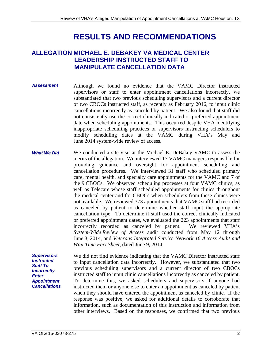# **RESULTS AND RECOMMENDATIONS**

### <span id="page-5-0"></span>**ALLEGATION MICHAEL E. DEBAKEY VA MEDICAL CENTER LEADERSHIP INSTRUCTED STAFF TO MANIPULATE CANCELLATION DATA**

- *Assessment*  Although we found no evidence that the VAMC Director instructed supervisors or staff to enter appointment cancellations incorrectly, we substantiated that two previous scheduling supervisors and a current director of two CBOCs instructed staff, as recently as February 2016, to input clinic cancellations incorrectly as canceled by patient. We also found that staff did not consistently use the correct clinically indicated or preferred appointment date when scheduling appointments. This occurred despite VHA identifying inappropriate scheduling practices or supervisors instructing schedulers to modify scheduling dates at the VAMC during VHA's May and June 2014 system-wide review of access.
- *What We Did*  We conducted a site visit at the Michael E. DeBakey VAMC to assess the merits of the allegation. We interviewed 17 VAMC managers responsible for providing guidance and oversight for appointment scheduling and cancellation procedures. We interviewed 31 staff who scheduled primary care, mental health, and specialty care appointments for the VAMC and 7 of the 9 CBOCs. We observed scheduling processes at four VAMC clinics, as well as Telecare whose staff scheduled appointments for clinics throughout the medical center and for CBOCs when schedulers from these clinics were not available. We reviewed 373 appointments that VAMC staff had recorded as canceled by patient to determine whether staff input the appropriate cancellation type. To determine if staff used the correct clinically indicated or preferred appointment dates, we evaluated the 223 appointments that staff incorrectly recorded as canceled by patient. We reviewed VHA's *System-Wide Review of Access* audit conducted from May 12 through June 3, 2014, and *Veterans Integrated Service Network 16 Access Audit and Wait Time Fact Sheet*, dated June 9, 2014.

*Supervisors Instructed Staff To Incorrectly Enter Appointment Cancellations*  We did not find evidence indicating that the VAMC Director instructed staff to input cancellation data incorrectly. However, we substantiated that two previous scheduling supervisors and a current director of two CBOCs instructed staff to input clinic cancellations incorrectly as canceled by patient. To determine this, we asked schedulers and supervisors if anyone had instructed them or anyone else to enter an appointment as canceled by patient when they should have entered the appointment as canceled by clinic. If the response was positive, we asked for additional details to corroborate that information, such as documentation of this instruction and information from other interviews. Based on the responses, we confirmed that two previous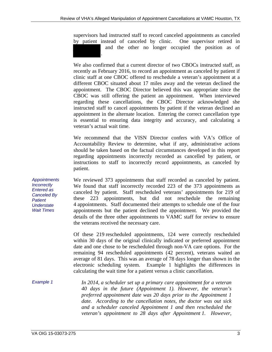supervisors had instructed staff to record canceled appointments as canceled by patient instead of canceled by clinic. One supervisor retired in and the other no longer occupied the position as of .

We also confirmed that a current director of two CBOCs instructed staff, as recently as February 2016, to record an appointment as canceled by patient if clinic staff at one CBOC offered to reschedule a veteran's appointment at a different CBOC situated about 17 miles away and the veteran declined the appointment. The CBOC Director believed this was appropriate since the CBOC was still offering the patient an appointment. When interviewed regarding these cancellations, the CBOC Director acknowledged she instructed staff to cancel appointments by patient if the veteran declined an appointment in the alternate location. Entering the correct cancellation type is essential to ensuring data integrity and accuracy, and calculating a veteran's actual wait time.

We recommend that the VISN Director confers with VA's Office of Accountability Review to determine, what if any, administrative actions should be taken based on the factual circumstances developed in this report regarding appointments incorrectly recorded as cancelled by patient, or instructions to staff to incorrectly record appointments, as canceled by patient.

We reviewed 373 appointments that staff recorded as canceled by patient. We found that staff incorrectly recorded 223 of the 373 appointments as canceled by patient. Staff rescheduled veterans' appointments for 219 of these 223 appointments, but did not reschedule the remaining 4 appointments. Staff documented their attempts to schedule one of the four appointments but the patient declined the appointment. We provided the details of the three other appointments to VAMC staff for review to ensure the veterans received the necessary care.

Of these 219 rescheduled appointments, 124 were correctly rescheduled within 30 days of the original clinically indicated or preferred appointment date and one chose to be rescheduled through non-VA care options. For the remaining 94 rescheduled appointments (42 percent), veterans waited an average of 81 days. This was an average of 78 days longer than shown in the electronic scheduling system. Example 1 highlights the differences in calculating the wait time for a patient versus a clinic cancellation.

*Example 1 In 2014, a scheduler set up a primary care appointment for a veteran 40 days in the future (Appointment 1). However, the veteran's preferred appointment date was 20 days prior to the Appointment 1 date. According to the cancellation notes, the doctor was out sick and a scheduler canceled Appointment 1 and then rescheduled the veteran's appointment to 28 days after Appointment 1. However,* 

*Appointments Incorrectly Entered as Canceled By Patient Understate Wait Times*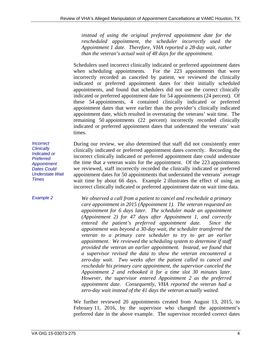*instead of using the original preferred appointment date for the rescheduled appointment, the scheduler incorrectly used the Appointment 1 date. Therefore, VHA reported a 28-day wait, rather than the veteran's actual wait of 48 days for the appointment.* 

Schedulers used incorrect clinically indicated or preferred appointment dates when scheduling appointments. For the 223 appointments that were incorrectly recorded as canceled by patient, we reviewed the clinically indicated or preferred appointment dates for their initially scheduled appointments, and found that schedulers did not use the correct clinically indicated or preferred appointment date for 54 appointments (24 percent). Of these 54 appointments, 4 contained clinically indicated or preferred appointment dates that were earlier than the provider's clinically indicated appointment date, which resulted in overstating the veterans' wait time. The remaining 50 appointments (22 percent) incorrectly recorded clinically indicated or preferred appointment dates that understated the veterans' wait times.

*Incorrect Clinically Indicated or Preferred Appointment Dates Could Understate Wait Times* 

During our review, we also determined that staff did not consistently enter clinically indicated or preferred appointment dates correctly. Recording the incorrect clinically indicated or preferred appointment date could understate the time that a veteran waits for the appointment. Of the 223 appointments we reviewed, staff incorrectly recorded the clinically indicated or preferred appointment dates for 50 appointments that understated the veterans' average wait time by about 66 days. Example 2 illustrates the effect of using an incorrect clinically indicated or preferred appointment date on wait time data.

*Example 2* 

*We observed a call from a patient to cancel and reschedule a primary care appointment in 2015 (Appointment 1). The veteran requested an appointment for 6 days later. The scheduler made an appointment (Appointment 2) for 47 days after Appointment 1, and correctly entered the patient's preferred appointment date. Since the appointment was beyond a 30-day wait, the scheduler transferred the veteran to a primary care scheduler to try to get an earlier appointment. We reviewed the scheduling system to determine if staff provided the veteran an earlier appointment. Instead, we found that a supervisor revised the data to show the veteran encountered a zero-day wait. Two weeks after the patient called to cancel and reschedule his primary care appointment, the supervisor canceled the Appointment 2 and rebooked it for a time slot 30 minutes later. However, the supervisor entered Appointment 2 as the preferred appointment date. Consequently, VHA reported the veteran had a zero-day wait instead of the 41 days the veteran actually waited.* 

We further reviewed 20 appointments created from August 13, 2015, to February 11, 2016, by the supervisor who changed the appointment's preferred date in the above example. The supervisor recorded correct dates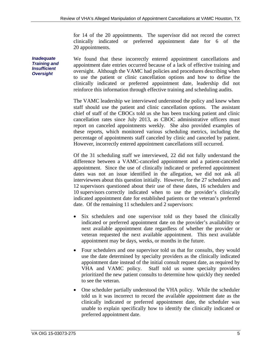for 14 of the 20 appointments. The supervisor did not record the correct clinically indicated or preferred appointment date for 6 of the 20 appointments.

We found that these incorrectly entered appointment cancellations and appointment date entries occurred because of a lack of effective training and oversight. Although the VAMC had policies and procedures describing when to use the patient or clinic cancellation options and how to define the clinically indicated or preferred appointment date, leadership did not reinforce this information through effective training and scheduling audits.

The VAMC leadership we interviewed understood the policy and knew when staff should use the patient and clinic cancellation options. The assistant chief of staff of the CBOCs told us she has been tracking patient and clinic cancellation rates since July 2013, as CBOC administrative officers must report on canceled appointments weekly. She also provided examples of these reports, which monitored various scheduling metrics, including the percentage of appointments staff canceled by clinic and canceled by patient. However, incorrectly entered appointment cancellations still occurred.

Of the 31 scheduling staff we interviewed, 22 did not fully understand the difference between a VAMC-canceled appointment and a patient-canceled appointment. Since the use of clinically indicated or preferred appointment dates was not an issue identified in the allegation, we did not ask all interviewees about this question initially. However, for the 27 schedulers and 12 supervisors questioned about their use of these dates, 16 schedulers and 10 supervisors correctly indicated when to use the provider's clinically indicated appointment date for established patients or the veteran's preferred date. Of the remaining 11 schedulers and 2 supervisors:

- Six schedulers and one supervisor told us they based the clinically indicated or preferred appointment date on the provider's availability or next available appointment date regardless of whether the provider or veteran requested the next available appointment. This next available appointment may be days, weeks, or months in the future.
- Four schedulers and one supervisor told us that for consults, they would use the date determined by specialty providers as the clinically indicated appointment date instead of the initial consult request date, as required by VHA and VAMC policy. Staff told us some specialty providers prioritized the new patient consults to determine how quickly they needed to see the veteran.
- One scheduler partially understood the VHA policy. While the scheduler told us it was incorrect to record the available appointment date as the clinically indicated or preferred appointment date, the scheduler was unable to explain specifically how to identify the clinically indicated or preferred appointment date.

*Inadequate Training and Insufficient Oversight*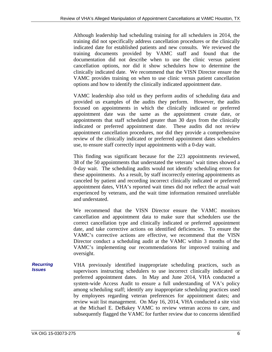Although leadership had scheduling training for all schedulers in 2014, the training did not specifically address cancellation procedures or the clinically indicated date for established patients and new consults. We reviewed the training documents provided by VAMC staff and found that the documentation did not describe when to use the clinic versus patient cancellation options, nor did it show schedulers how to determine the clinically indicated date. We recommend that the VISN Director ensure the VAMC provides training on when to use clinic versus patient cancellation options and how to identify the clinically indicated appointment date.

VAMC leadership also told us they perform audits of scheduling data and provided us examples of the audits they perform. However, the audits focused on appointments in which the clinically indicated or preferred appointment date was the same as the appointment create date, or appointments that staff scheduled greater than 30 days from the clinically indicated or preferred appointment date. These audits did not review appointment cancellation procedures, nor did they provide a comprehensive review of the clinically indicated or preferred appointment dates schedulers use, to ensure staff correctly input appointments with a 0-day wait.

This finding was significant because for the 223 appointments reviewed, 38 of the 50 appointments that understated the veterans' wait times showed a 0-day wait. The scheduling audits would not identify scheduling errors for these appointments. As a result, by staff incorrectly entering appointments as canceled by patient and recording incorrect clinically indicated or preferred appointment dates, VHA's reported wait times did not reflect the actual wait experienced by veterans, and the wait time information remained unreliable and understated.

We recommend that the VISN Director ensure the VAMC monitors cancellation and appointment data to make sure that schedulers use the correct cancellation type and clinically indicated or preferred appointment date, and take corrective actions on identified deficiencies. To ensure the VAMC's corrective actions are effective, we recommend that the VISN Director conduct a scheduling audit at the VAMC within 3 months of the VAMC's implementing our recommendations for improved training and oversight.

*Recurring Issues*  VHA previously identified inappropriate scheduling practices, such as supervisors instructing schedulers to use incorrect clinically indicated or preferred appointment dates. In May and June 2014, VHA conducted a system-wide Access Audit to ensure a full understanding of VA's policy among scheduling staff; identify any inappropriate scheduling practices used by employees regarding veteran preferences for appointment dates; and review wait list management. On May 16, 2014, VHA conducted a site visit at the Michael E. DeBakey VAMC to review veteran access to care, and subsequently flagged the VAMC for further review due to concerns identified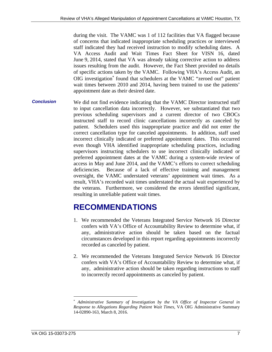<span id="page-10-0"></span>during the visit. The VAMC was 1 of 112 facilities that VA flagged because of concerns that indicated inappropriate scheduling practices or interviewed staff indicated they had received instruction to modify scheduling dates. A VA Access Audit and Wait Times Fact Sheet for VISN 16, dated June 9, 2014, stated that VA was already taking corrective action to address issues resulting from the audit. However, the Fact Sheet provided no details of specific actions taken by the VAMC. Following VHA's Access Audit, an OIG investigation<sup>\*</sup> found that schedulers at the VAMC "zeroed out" patient wait times between 2010 and 2014, having been trained to use the patients' appointment date as their desired date.

*Conclusion*  We did not find evidence indicating that the VAMC Director instructed staff to input cancellation data incorrectly. However, we substantiated that two previous scheduling supervisors and a current director of two CBOCs instructed staff to record clinic cancellations incorrectly as canceled by patient. Schedulers used this inappropriate practice and did not enter the correct cancellation type for canceled appointments. In addition, staff used incorrect clinically indicated or preferred appointment dates. This occurred even though VHA identified inappropriate scheduling practices, including supervisors instructing schedulers to use incorrect clinically indicated or preferred appointment dates at the VAMC during a system-wide review of access in May and June 2014, and the VAMC's efforts to correct scheduling deficiencies. Because of a lack of effective training and management oversight, the VAMC understated veterans' appointment wait times. As a result, VHA's recorded wait times understated the actual wait experienced by the veterans. Furthermore, we considered the errors identified significant, resulting in unreliable patient wait times.

# **RECOMMENDATIONS**

- 1. We recommended the Veterans Integrated Service Network 16 Director confers with VA's Office of Accountability Review to determine what, if any, administrative action should be taken based on the factual circumstances developed in this report regarding appointments incorrectly recorded as canceled by patient.
- 2. We recommended the Veterans Integrated Service Network 16 Director confers with VA's Office of Accountability Review to determine what, if any, administrative action should be taken regarding instructions to staff to incorrectly record appointments as canceled by patient.

1

*Administrative Summary of Investigation by the VA Office of Inspector General in Response to Allegations Regarding Patient Wait Times*, VA OIG Administrative Summary 14-02890-163, March 8, 2016.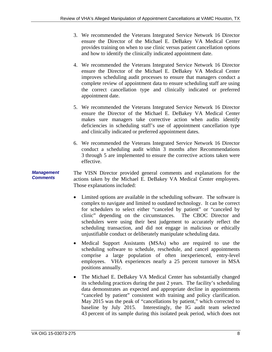- 3. We recommended the Veterans Integrated Service Network 16 Director ensure the Director of the Michael E. DeBakey VA Medical Center provides training on when to use clinic versus patient cancellation options and how to identify the clinically indicated appointment date.
- 4. We recommended the Veterans Integrated Service Network 16 Director ensure the Director of the Michael E. DeBakey VA Medical Center improves scheduling audit processes to ensure that managers conduct a complete review of appointment data to ensure scheduling staff are using the correct cancellation type and clinically indicated or preferred appointment date.
- 5. We recommended the Veterans Integrated Service Network 16 Director ensure the Director of the Michael E. DeBakey VA Medical Center makes sure managers take corrective action when audits identify deficiencies in scheduling staff's use of appointment cancellation type and clinically indicated or preferred appointment dates.
- 6. We recommended the Veterans Integrated Service Network 16 Director conduct a scheduling audit within 3 months after Recommendations 3 through 5 are implemented to ensure the corrective actions taken were effective.

#### *Management Comments*  The VISN Director provided general comments and explanations for the actions taken by the Michael E. DeBakey VA Medical Center employees. Those explanations included:

- Limited options are available in the scheduling software. The software is complex to navigate and limited to outdated technology. It can be correct for schedulers to select either "canceled by patient" or "canceled by clinic" depending on the circumstances. The CBOC Director and schedulers were using their best judgement to accurately reflect the scheduling transaction, and did not engage in malicious or ethically unjustifiable conduct or deliberately manipulate scheduling data.
- Medical Support Assistants (MSAs) who are required to use the scheduling software to schedule, reschedule, and cancel appointments comprise a large population of often inexperienced, entry-level employees. VHA experiences nearly a 25 percent turnover in MSA positions annually.
- "canceled by patient" consistent with training and policy clarification. May 2015 was the peak of "cancellations by patient," which corrected to The Michael E. DeBakey VA Medical Center has substantially changed its scheduling practices during the past 2 years. The facility's scheduling data demonstrates an expected and appropriate decline in appointments baseline by July 2015. Interestingly, the IG audit team selected 43 percent of its sample during this isolated peak period, which does not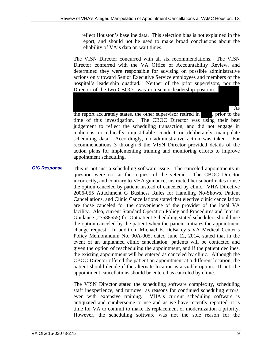reflect Houston's baseline data. This selection bias is not explained in the report, and should not be used to make broad conclusions about the reliability of VA's data on wait times.

The VISN Director concurred with all six recommendations. The VISN Director conferred with the VA Office of Accountability Review, and determined they were responsible for advising on possible administrative actions only toward Senior Executive Service employees and members of the hospital's leadership quadrad. Neither of the prior supervisors, nor the Director of the two CBOCs, was in a senior leadership position.

As

the report accurately states, the other supervisor retired in , prior to the time of this investigation. The CBOC Director was using their best judgement to reflect the scheduling transaction, and did not engage in malicious or ethically unjustifiable conduct or deliberately manipulate scheduling data. Accordingly, no administrative action was taken. For recommendations 3 through 6 the VISN Director provided details of the action plans for implementing training and monitoring efforts to improve appointment scheduling.

*OIG Response*  This is not just a scheduling software issue. The canceled appointments in question were not at the request of the veteran. The CBOC Director incorrectly, and contrary to VHA guidance, instructed her subordinates to use the option canceled by patient instead of canceled by clinic. VHA Directive 2006-055 Attachment G Business Rules for Handling No-Shows, Patient Cancellations, and Clinic Cancellations stated that elective clinic cancellation are those canceled for the convenience of the provider of the local VA facility. Also, current Standard Operation Policy and Procedures and Interim Guidance (#7588555) for Outpatient Scheduling stated schedulers should use the option canceled by the patient when the patient initiates the appointment change request. In addition, Michael E. DeBakey's VA Medical Center's Policy Memorandum No. 00A-005, dated June 12, 2014, stated that in the event of an unplanned clinic cancellation, patients will be contacted and given the option of rescheduling the appointment, and if the patient declines, the existing appointment will be entered as canceled by clinic. Although the CBOC Director offered the patient an appointment at a different location, the patient should decide if the alternate location is a viable option. If not, the appointment cancellations should be entered as canceled by clinic.

> time for VA to commit to make its replacement or modernization a priority. The VISN Director stated the scheduling software complexity, scheduling staff inexperience, and turnover as reasons for continued scheduling errors, even with extensive training. VHA's current scheduling software is antiquated and cumbersome to use and as we have recently reported, it is However, the scheduling software was not the sole reason for the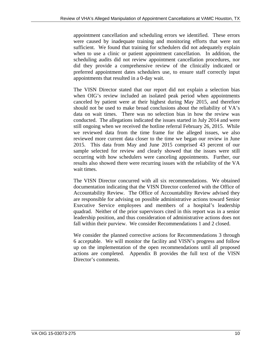appointment cancellation and scheduling errors we identified. These errors were caused by inadequate training and monitoring efforts that were not sufficient. We found that training for schedulers did not adequately explain when to use a clinic or patient appointment cancellation. In addition, the scheduling audits did not review appointment cancellation procedures, nor did they provide a comprehensive review of the clinically indicated or preferred appointment dates schedulers use, to ensure staff correctly input appointments that resulted in a 0-day wait.

The VISN Director stated that our report did not explain a selection bias when OIG's review included an isolated peak period when appointments canceled by patient were at their highest during May 2015, and therefore should not be used to make broad conclusions about the reliability of VA's data on wait times. There was no selection bias in how the review was conducted. The allegations indicated the issues started in July 2014 and were still ongoing when we received the hotline referral February 26, 2015. While we reviewed data from the time frame for the alleged issues, we also reviewed more current data closer to the time we began our review in June 2015. This data from May and June 2015 comprised 43 percent of our sample selected for review and clearly showed that the issues were still occurring with how schedulers were canceling appointments. Further, our results also showed there were recurring issues with the reliability of the VA wait times.

The VISN Director concurred with all six recommendations. We obtained documentation indicating that the VISN Director conferred with the Office of Accountability Review. The Office of Accountability Review advised they are responsible for advising on possible administrative actions toward Senior Executive Service employees and members of a hospital's leadership quadrad. Neither of the prior supervisors cited in this report was in a senior leadership position, and thus consideration of administrative actions does not fall within their purview. We consider Recommendations 1 and 2 closed.

We consider the planned corrective actions for Recommendations 3 through 6 acceptable. We will monitor the facility and VISN's progress and follow up on the implementation of the open recommendations until all proposed actions are completed. Appendix B provides the full text of the VISN Director's comments.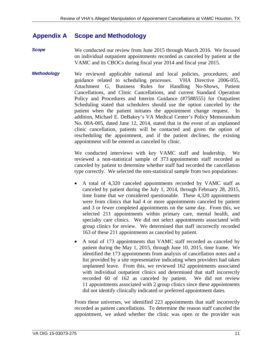#### <span id="page-14-0"></span>**Appendix A Scope and Methodology**

- *Scope*  We conducted our review from June 2015 through March 2016. We focused on individual outpatient appointments recorded as canceled by patient at the VAMC and its CBOCs during fiscal year 2014 and fiscal year 2015.
- *Methodology*  We reviewed applicable national and local policies, procedures, and guidance related to scheduling processes. VHA Directive 2006-055, Attachment G, Business Rules for Handling No-Shows, Patient Cancellations, and Clinic Cancellations, and current Standard Operation Policy and Procedures and Interim Guidance (#7588555) for Outpatient Scheduling stated that schedulers should use the option canceled by the patient when the patient initiates the appointment change request. In addition, Michael E. DeBakey's VA Medical Center's Policy Memorandum No. 00A-005, dated June 12, 2014, stated that in the event of an unplanned clinic cancellation, patients will be contacted and given the option of rescheduling the appointment, and if the patient declines, the existing appointment will be entered as canceled by clinic.

We conducted interviews with key VAMC staff and leadership. We reviewed a non-statistical sample of 373 appointments staff recorded as canceled by patient to determine whether staff had recorded the cancellation type correctly. We selected the non-statistical sample from two populations:

- A total of 4,320 canceled appointments recorded by VAMC staff as canceled by patient during the July 1, 2014, through February 28, 2015, time frame that we considered questionable. These 4,320 appointments were from clinics that had 4 or more appointments canceled by patient and 3 or fewer completed appointments on the same day. From this, we selected 211 appointments within primary care, mental health, and specialty care clinics. We did not select appointments associated with group clinics for review. We determined that staff incorrectly recorded 163 of these 211 appointments as canceled by patient.
- A total of 173 appointments that VAMC staff recorded as canceled by patient during the May 1, 2015, through June 10, 2015, time frame. We identified the 173 appointments from analysis of cancellation notes and a list provided by a site representative indicating when providers had taken unplanned leave. From this, we reviewed 162 appointments associated with individual outpatient clinics and determined that staff incorrectly recorded 60 of 162 as canceled by patient. We did not review 11 appointments associated with 2 group clinics since these appointments did not identify clinically indicated or preferred appointment dates.

From these universes, we identified 223 appointments that staff incorrectly recorded as patient cancellations. To determine the reason staff canceled the appointment, we asked whether the clinic was open or the provider was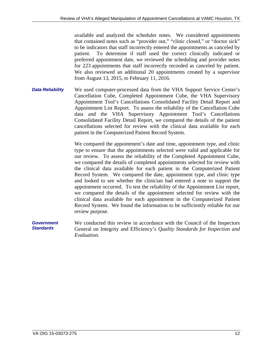available and analyzed the scheduler notes. We considered appointments that contained notes such as "provider out," "clinic closed," or "doctor sick" to be indicators that staff incorrectly entered the appointments as canceled by patient. To determine if staff used the correct clinically indicated or preferred appointment date, we reviewed the scheduling and provider notes for 223 appointments that staff incorrectly recorded as canceled by patient. We also reviewed an additional 20 appointments created by a supervisor from August 13, 2015, to February 11, 2016.

*Data Reliability*  We used computer-processed data from the VHA Support Service Center's Cancellation Cube, Completed Appointment Cube, the VHA Supervisory Appointment Tool's Cancellations Consolidated Facility Detail Report and Appointment List Report. To assess the reliability of the Cancellation Cube data and the VHA Supervisory Appointment Tool's Cancellations Consolidated Facility Detail Report, we compared the details of the patient cancellations selected for review with the clinical data available for each patient in the Computerized Patient Record System.

> We compared the appointment's date and time, appointment type, and clinic type to ensure that the appointments selected were valid and applicable for our review. To assess the reliability of the Completed Appointment Cube, we compared the details of completed appointments selected for review with the clinical data available for each patient in the Computerized Patient Record System. We compared the date, appointment type, and clinic type and looked to see whether the clinician had entered a note to support the appointment occurred. To test the reliability of the Appointment List report, we compared the details of the appointment selected for review with the clinical data available for each appointment in the Computerized Patient Record System. We found the information to be sufficiently reliable for our review purpose.

*Government Standards*  We conducted this review in accordance with the Council of the Inspectors General on Integrity and Efficiency's *Quality Standards for Inspection and Evaluation*.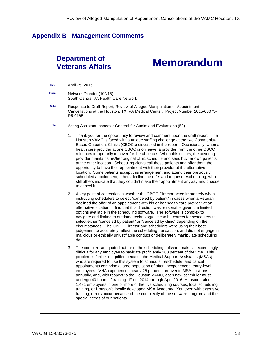# <span id="page-16-0"></span>**Appendix B Management Comments**

|       | Department of<br><b>Memorandum</b><br><b>Veterans Affairs</b>                                                                                                                                                                                                                                                                                                                                                                                                                                                                                                                                                                                                                                                                                                                                                                                                                                                                                            |
|-------|----------------------------------------------------------------------------------------------------------------------------------------------------------------------------------------------------------------------------------------------------------------------------------------------------------------------------------------------------------------------------------------------------------------------------------------------------------------------------------------------------------------------------------------------------------------------------------------------------------------------------------------------------------------------------------------------------------------------------------------------------------------------------------------------------------------------------------------------------------------------------------------------------------------------------------------------------------|
| Date: | April 25, 2016                                                                                                                                                                                                                                                                                                                                                                                                                                                                                                                                                                                                                                                                                                                                                                                                                                                                                                                                           |
| From: | Network Director (10N16)<br>South Central VA Health Care Network                                                                                                                                                                                                                                                                                                                                                                                                                                                                                                                                                                                                                                                                                                                                                                                                                                                                                         |
| Subj: | Response to Draft Report, Review of Alleged Manipulation of Appointment<br>Cancellations at the Houston, TX, VA Medical Center. Project Number 2015-03073-<br>R5-0165                                                                                                                                                                                                                                                                                                                                                                                                                                                                                                                                                                                                                                                                                                                                                                                    |
| To:   | Acting Assistant Inspector General for Audits and Evaluations (52)                                                                                                                                                                                                                                                                                                                                                                                                                                                                                                                                                                                                                                                                                                                                                                                                                                                                                       |
|       | Thank you for the opportunity to review and comment upon the draft report. The<br>1.<br>Houston VAMC is faced with a unique staffing challenge at the two Community-<br>Based Outpatient Clinics (CBOCs) discussed in the report. Occasionally, when a<br>health care provider at one CBOC is on leave, a provider from the other CBOC<br>relocates temporarily to cover for the absence. When this occurs, the covering<br>provider maintains his/her original clinic schedule and sees his/her own patients<br>at the other location. Scheduling clerks call these patients and offer them the<br>opportunity to have their appointment with their provider at the alternative<br>location. Some patients accept this arrangement and attend their previously<br>scheduled appointment; others decline the offer and request rescheduling; while<br>still others indicate that they couldn't make their appointment anyway and choose<br>to cancel it. |
|       | A key point of contention is whether the CBOC Director acted improperly when<br>2.<br>instructing schedulers to select "canceled by patient" in cases when a Veteran<br>declined the offer of an appointment with his or her health care provider at an<br>alternative location. I find that this direction was reasonable given the limited<br>options available in the scheduling software. The software is complex to<br>navigate and limited to outdated technology. It can be correct for schedulers to<br>select either "canceled by patient" or "canceled by clinic" depending on the<br>circumstances. The CBOC Director and schedulers were using their best<br>judgement to accurately reflect the scheduling transaction, and did not engage in<br>malicious or ethically unjustifiable conduct or deliberately manipulate scheduling<br>data.                                                                                                |
|       | The complex, antiquated nature of the scheduling software makes it exceedingly<br>difficult for any employee to navigate proficiently 100 percent of the time. This<br>problem is further magnified because the Medical Support Assistants (MSAs)<br>who are required to use this system to schedule, reschedule, and cancel<br>appointments comprise a large population of often inexperienced, entry-level<br>employees. VHA experiences nearly 25 percent turnover in MSA positions<br>annually, and, with respect to the Houston VAMC, each new scheduler must<br>undergo 40 hours of training. From 2014 through April 2016, Houston trained<br>1,481 employees in one or more of the five scheduling courses, local scheduling<br>training, or Houston's locally developed MSA Academy. Yet, even with extensive<br>training, errors occur because of the complexity of the software program and the<br>special needs of our patients.             |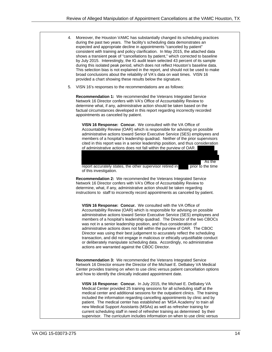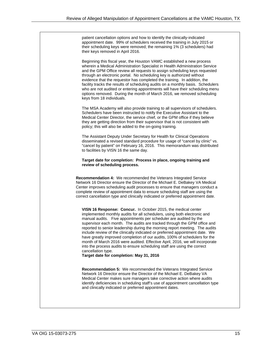patient cancellation options and how to identify the clinically-indicated appointment date. 99% of schedulers received the training in July 2015 or their scheduling keys were removed; the remaining 1% (3 schedulers) had their keys removed in April 2016.

Beginning this fiscal year, the Houston VAMC established a new process wherein a Medical Administration Specialist in Health Administration Service and the GPM Office review all requests to assign scheduling keys requested through an electronic portal. No scheduling key is authorized without evidence that the requestor has completed the training. In addition, the facility tracks the results of scheduling audits on a monthly basis. Schedulers who are not audited or entering appointments will have their scheduling menu options removed. During the month of March 2016, we removed scheduling keys from 18 individuals.

The MSA Academy will also provide training to all supervisors of schedulers. Schedulers have been instructed to notify the Executive Assistant to the Medical Center Director, the service chief, or the GPM office if they believe they are getting direction from their supervisor that is not consistent with policy; this will also be added to the on-going training.

The Assistant Deputy Under Secretary for Health for Clinical Operations disseminated a revised standard procedure for usage of "cancel by clinic" vs. "cancel by patient" on February 16, 2016. This memorandum was distributed to facilities by VISN 16 the same day.

#### **Target date for completion: Process in place, ongoing training and review of scheduling process.**

**Recommendation 4:** We recommended the Veterans Integrated Service Network 16 Director ensure the Director of the Michael E. DeBakey VA Medical Center improves scheduling audit processes to ensure that managers conduct a complete review of appointment data to ensure scheduling staff are using the correct cancellation type and clinically indicated or preferred appointment date.

**VISN 16 Response: Concur.** In October 2015, the medical center implemented monthly audits for all schedulers, using both electronic and manual audits. Five appointments per scheduler are audited by the supervisor each month. The audits are tracked through the GPM office and reported to senior leadership during the morning report meeting. The audits include review of the clinically indicated or preferred appointment date. We have greatly improved completion of our audits, 100% of schedulers for the month of March 2016 were audited. Effective April, 2016, we will incorporate into the process audits to ensure scheduling staff are using the correct cancellation type.

**Target date for completion: May 31, 2016** 

**Recommendation 5:** We recommended the Veterans Integrated Service Network 16 Director ensure the Director of the Michael E. DeBakey VA Medical Center makes sure managers take corrective action where audits identify deficiencies in scheduling staff's use of appointment cancellation type and clinically indicated or preferred appointment dates.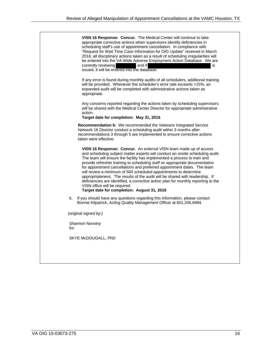|      | <b>VISN 16 Response: Concur.</b> The Medical Center will continue to take<br>appropriate corrective actions when supervisors identify deficiencies in<br>scheduling staff's use of appointment cancellation. In compliance with<br>"Request for Wait Time Case Information for OIG Update" received in March<br>2016, all disciplinary actions taken as a result of scheduling irregularities will<br>be entered into the VA-Wide Adverse Employment Action Database. We are<br>currently reviewing<br>and if<br>is<br>issued, it will be entered into the database.                                                                                                                                                       |
|------|----------------------------------------------------------------------------------------------------------------------------------------------------------------------------------------------------------------------------------------------------------------------------------------------------------------------------------------------------------------------------------------------------------------------------------------------------------------------------------------------------------------------------------------------------------------------------------------------------------------------------------------------------------------------------------------------------------------------------|
|      | If any error is found during monthly audits of all schedulers, additional training<br>will be provided. Whenever the scheduler's error rate exceeds >15%, an<br>expanded audit will be completed with administrative actions taken as<br>appropriate.                                                                                                                                                                                                                                                                                                                                                                                                                                                                      |
|      | Any concerns reported regarding the actions taken by scheduling supervisors<br>will be shared with the Medical Center Director for appropriate administrative<br>action.<br>Target date for completion: May 31, 2016                                                                                                                                                                                                                                                                                                                                                                                                                                                                                                       |
|      | Recommendation 6: We recommended the Veterans Integrated Service<br>Network 16 Director conduct a scheduling audit within 3 months after<br>recommendations 3 through 5 are implemented to ensure corrective actions<br>taken were effective.                                                                                                                                                                                                                                                                                                                                                                                                                                                                              |
|      | <b>VISN 16 Response: Concur.</b> An external VISN team made up of access<br>and scheduling subject matter experts will conduct an onsite scheduling audit.<br>The team will ensure the facility has implemented a process to train and<br>provide refresher training to scheduling staff on appropriate documentation<br>for appointment cancellations and preferred appointment dates. The team<br>will review a minimum of 500 scheduled appointments to determine<br>appropriateness. The results of the audit will be shared with leadership. If<br>deficiencies are identified, a corrective action plan for monthly reporting to the<br>VISN office will be required.<br>Target date for completion: August 31, 2016 |
| 6.   | If you should have any questions regarding this information, please contact<br>Bonnie Kilpatrick, Acting Quality Management Officer at 601.206.6994.                                                                                                                                                                                                                                                                                                                                                                                                                                                                                                                                                                       |
|      | (original signed by:)                                                                                                                                                                                                                                                                                                                                                                                                                                                                                                                                                                                                                                                                                                      |
| for: | Shannon Novotny                                                                                                                                                                                                                                                                                                                                                                                                                                                                                                                                                                                                                                                                                                            |
|      | SKYE McDOUGALL, PhD                                                                                                                                                                                                                                                                                                                                                                                                                                                                                                                                                                                                                                                                                                        |
|      |                                                                                                                                                                                                                                                                                                                                                                                                                                                                                                                                                                                                                                                                                                                            |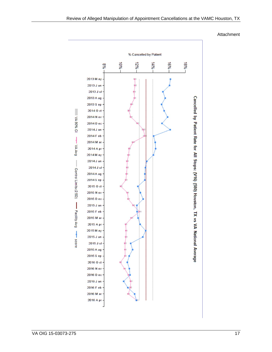#### Attachment

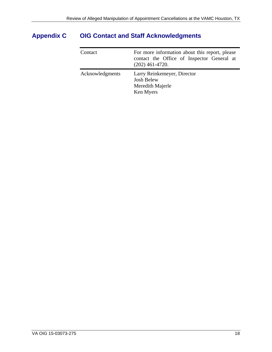# <span id="page-21-0"></span>**Appendix C OIG Contact and Staff Acknowledgments**

| Contact         | For more information about this report, please<br>contact the Office of Inspector General at<br>$(202)$ 461-4720. |
|-----------------|-------------------------------------------------------------------------------------------------------------------|
| Acknowledgments | Larry Reinkemeyer, Director<br><b>Josh Belew</b><br>Meredith Majerle<br>Ken Myers                                 |